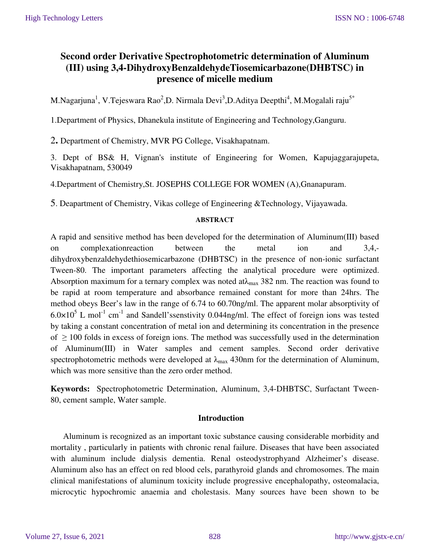# **Second order Derivative Spectrophotometric determination of Aluminum (III) using 3,4-DihydroxyBenzaldehydeTiosemicarbazone(DHBTSC) in presence of micelle medium**

M.Nagarjuna $^{\rm l}$ , V.Tejeswara Rao $^{\rm 2}$ ,D. Nirmala Devi $^{\rm 3}$ ,D.Aditya Deepthi $^{\rm 4}$ , M.Mogalali raju $^{\rm 5*}$ 

1.Department of Physics, Dhanekula institute of Engineering and Technology,Ganguru.

2**.** Department of Chemistry, MVR PG College, Visakhapatnam.

3. Dept of BS& H, Vignan's institute of Engineering for Women, Kapujaggarajupeta, Visakhapatnam, 530049

4.Department of Chemistry,St. JOSEPHS COLLEGE FOR WOMEN (A),Gnanapuram.

5. Deapartment of Chemistry, Vikas college of Engineering &Technology, Vijayawada.

### **ABSTRACT**

A rapid and sensitive method has been developed for the determination of Aluminum(III) based on complexationreaction between the metal ion and 3,4, dihydroxybenzaldehydethiosemicarbazone (DHBTSC) in the presence of non-ionic surfactant Tween-80. The important parameters affecting the analytical procedure were optimized. Absorption maximum for a ternary complex was noted at $\lambda_{\text{max}}$  382 nm. The reaction was found to be rapid at room temperature and absorbance remained constant for more than 24hrs. The method obeys Beer's law in the range of 6.74 to 60.70ng/ml. The apparent molar absorptivity of  $6.0 \times 10^5$  L mol<sup>-1</sup> cm<sup>-1</sup> and Sandell'ssenstivity 0.044ng/ml. The effect of foreign ions was tested by taking a constant concentration of metal ion and determining its concentration in the presence of  $\geq$  100 folds in excess of foreign ions. The method was successfully used in the determination of Aluminum(III) in Water samples and cement samples. Second order derivative spectrophotometric methods were developed at  $\lambda_{\text{max}}$  430nm for the determination of Aluminum, which was more sensitive than the zero order method.

**Keywords:** Spectrophotometric Determination, Aluminum, 3,4-DHBTSC, Surfactant Tween-80, cement sample, Water sample.

### **Introduction**

Aluminum is recognized as an important toxic substance causing considerable morbidity and mortality , particularly in patients with chronic renal failure. Diseases that have been associated with aluminum include dialysis dementia. Renal osteodystrophyand Alzheimer's disease. Aluminum also has an effect on red blood cels, parathyroid glands and chromosomes. The main clinical manifestations of aluminum toxicity include progressive encephalopathy, osteomalacia, microcytic hypochromic anaemia and cholestasis. Many sources have been shown to be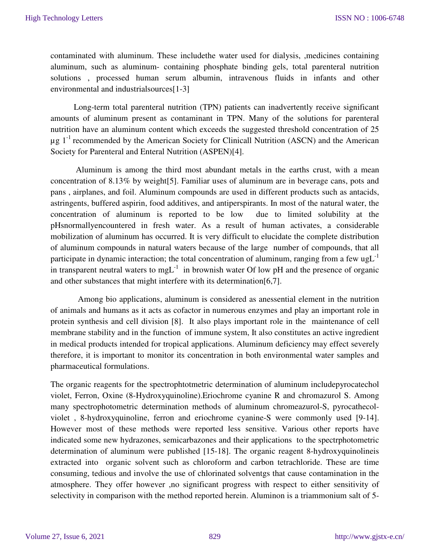contaminated with aluminum. These includethe water used for dialysis, ,medicines containing aluminum, such as aluminum- containing phosphate binding gels, total parenteral nutrition solutions , processed human serum albumin, intravenous fluids in infants and other environmental and industrialsources[1-3]

 Long-term total parenteral nutrition (TPN) patients can inadvertently receive significant amounts of aluminum present as contaminant in TPN. Many of the solutions for parenteral nutrition have an aluminum content which exceeds the suggested threshold concentration of 25  $\mu$ g 1<sup>-1</sup> recommended by the American Society for Clinicall Nutrition (ASCN) and the American Society for Parenteral and Enteral Nutrition (ASPEN)[4].

 Aluminum is among the third most abundant metals in the earths crust, with a mean concentration of 8.13% by weight[5]. Familiar uses of aluminum are in beverage cans, pots and pans , airplanes, and foil. Aluminum compounds are used in different products such as antacids, astringents, buffered aspirin, food additives, and antiperspirants. In most of the natural water, the concentration of aluminum is reported to be low due to limited solubility at the pHsnormallyencountered in fresh water. As a result of human activates, a considerable mobilization of aluminum has occurred. It is very difficult to elucidate the complete distribution of aluminum compounds in natural waters because of the large number of compounds, that all participate in dynamic interaction; the total concentration of aluminum, ranging from a few ug $L^{-1}$ in transparent neutral waters to  $m g L^{-1}$  in brownish water Of low pH and the presence of organic and other substances that might interfere with its determination[6,7].

 Among bio applications, aluminum is considered as anessential element in the nutrition of animals and humans as it acts as cofactor in numerous enzymes and play an important role in protein synthesis and cell division [8]. It also plays important role in the maintenance of cell membrane stability and in the function of immune system, It also constitutes an active ingredient in medical products intended for tropical applications. Aluminum deficiency may effect severely therefore, it is important to monitor its concentration in both environmental water samples and pharmaceutical formulations.

The organic reagents for the spectrophtotmetric determination of aluminum includepyrocatechol violet, Ferron, Oxine (8-Hydroxyquinoline).Eriochrome cyanine R and chromazurol S. Among many spectrophotometric determination methods of aluminum chromeazurol-S, pyrocathecolviolet , 8-hydroxyquinoline, ferron and eriochrome cyanine-S were commonly used [9-14]. However most of these methods were reported less sensitive. Various other reports have indicated some new hydrazones, semicarbazones and their applications to the spectrphotometric determination of aluminum were published [15-18]. The organic reagent 8-hydroxyquinolineis extracted into organic solvent such as chloroform and carbon tetrachloride. These are time consuming, tedious and involve the use of chlorinated solventgs that cause contamination in the atmosphere. They offer however ,no significant progress with respect to either sensitivity of selectivity in comparison with the method reported herein. Aluminon is a triammonium salt of 5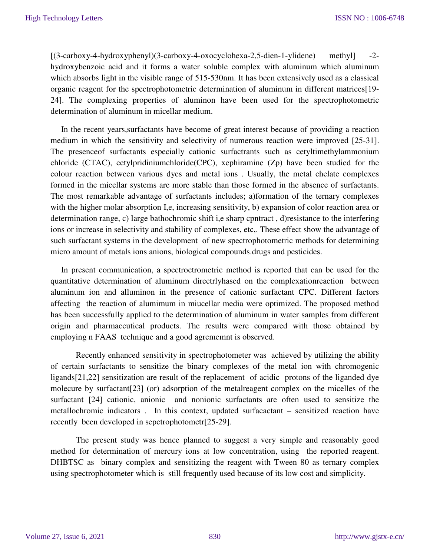[(3-carboxy-4-hydroxyphenyl)(3-carboxy-4-oxocyclohexa-2,5-dien-1-ylidene) methyl] -2 hydroxybenzoic acid and it forms a water soluble complex with aluminum which aluminum which absorbs light in the visible range of 515-530nm. It has been extensively used as a classical organic reagent for the spectrophotometric determination of aluminum in different matrices[19- 24]. The complexing properties of aluminon have been used for the spectrophotometric determination of aluminum in micellar medium.

 In the recent years,surfactants have become of great interest because of providing a reaction medium in which the sensitivity and selectivity of numerous reaction were improved [25-31]. The presenceof surfactants especially cationic surfactrants such as cetyltimethylammonium chloride (CTAC), cetylpridiniumchloride(CPC), xephiramine (Zp) have been studied for the colour reaction between various dyes and metal ions . Usually, the metal chelate complexes formed in the micellar systems are more stable than those formed in the absence of surfactants. The most remarkable advantage of surfactants includes; a)formation of the ternary complexes with the higher molar absorption I,e, increasing sensitivity, b) expansion of color reaction area or determination range, c) large bathochromic shift i,e sharp cpntract , d)resistance to the interfering ions or increase in selectivity and stability of complexes, etc,. These effect show the advantage of such surfactant systems in the development of new spectrophotometric methods for determining micro amount of metals ions anions, biological compounds.drugs and pesticides.

 In present communication, a spectroctrometric method is reported that can be used for the quantitative determination of aluminum directrlyhased on the complexationreaction between aluminum ion and alluminon in the presence of cationic surfactant CPC. Different factors affecting the reaction of alumimum in miucellar media were optimized. The proposed method has been successfully applied to the determination of aluminum in water samples from different origin and pharmaccutical products. The results were compared with those obtained by employing n FAAS technique and a good agrememnt is observed.

Recently enhanced sensitivity in spectrophotometer was achieved by utilizing the ability of certain surfactants to sensitize the binary complexes of the metal ion with chromogenic ligands[21,22] sensitization are result of the replacement of acidic protons of the liganded dye molecure by surfactant[23] (or) adsorption of the metalreagent complex on the micelles of the surfactant [24] cationic, anionic and nonionic surfactants are often used to sensitize the metallochromic indicators . In this context, updated surfacactant – sensitized reaction have recently been developed in sepctrophotometr[25-29].

 The present study was hence planned to suggest a very simple and reasonably good method for determination of mercury ions at low concentration, using the reported reagent. DHBTSC as binary complex and sensitizing the reagent with Tween 80 as ternary complex using spectrophotometer which is still frequently used because of its low cost and simplicity.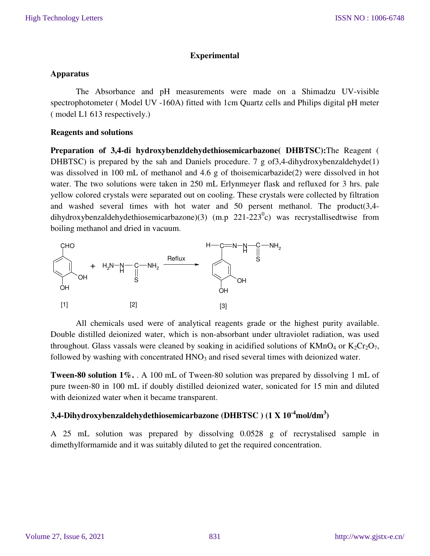### **Experimental**

### **Apparatus**

The Absorbance and pH measurements were made on a Shimadzu UV-visible spectrophotometer ( Model UV -160A) fitted with 1cm Quartz cells and Philips digital pH meter ( model L1 613 respectively.)

### **Reagents and solutions**

**Preparation of 3,4-di hydroxybenzldehydethiosemicarbazone( DHBTSC):**The Reagent ( DHBTSC) is prepared by the sah and Daniels procedure. 7 g of 3,4-dihydroxybenzaldehyde(1) was dissolved in 100 mL of methanol and 4.6 g of thoisemicarbazide(2) were dissolved in hot water. The two solutions were taken in 250 mL Erlynmeyer flask and refluxed for 3 hrs. pale yellow colored crystals were separated out on cooling. These crystals were collected by filtration and washed several times with hot water and 50 persent methanol. The product(3,4 dihydroxybenzaldehydethiosemicarbazone)(3) (m.p 221-223<sup>0</sup>c) was recrystallisedtwise from boiling methanol and dried in vacuum.



All chemicals used were of analytical reagents grade or the highest purity available. Double distilled deionized water, which is non-absorbant under ultraviolet radiation, was used throughout. Glass vassals were cleaned by soaking in acidified solutions of  $KMnO_4$  or  $K_2Cr_2O_7$ , followed by washing with concentrated  $HNO<sub>3</sub>$  and rised several times with deionized water.

**Tween-80 solution 1%.** . A 100 mL of Tween-80 solution was prepared by dissolving 1 mL of pure tween-80 in 100 mL if doubly distilled deionized water, sonicated for 15 min and diluted with deionized water when it became transparent.

## **3,4-Dihydroxybenzaldehydethiosemicarbazone (DHBTSC ) (1 X 10-4mol/dm<sup>3</sup> )**

A 25 mL solution was prepared by dissolving 0.0528 g of recrystalised sample in dimethylformamide and it was suitably diluted to get the required concentration.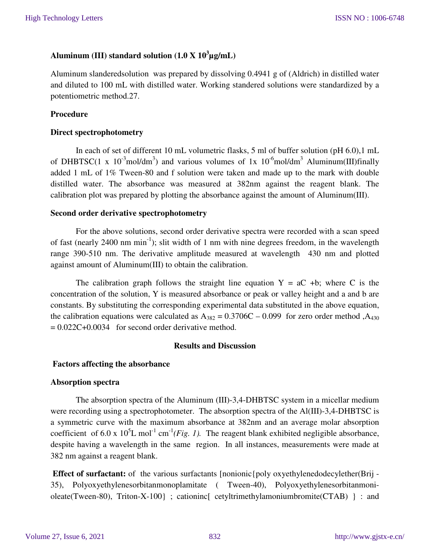## **Aluminum (III) standard solution (1.0 X 10<sup>3</sup> µg/mL)**

Aluminum slanderedsolution was prepared by dissolving 0.4941 g of (Aldrich) in distilled water and diluted to 100 mL with distilled water. Working standered solutions were standardized by a potentiometric method.27.

### **Procedure**

### **Direct spectrophotometry**

In each of set of different 10 mL volumetric flasks, 5 ml of buffer solution (pH 6.0),1 mL of DHBTSC(1 x  $10^{-3}$ mol/dm<sup>3</sup>) and various volumes of 1x  $10^{-6}$ mol/dm<sup>3</sup> Aluminum(III)finally added 1 mL of 1% Tween-80 and f solution were taken and made up to the mark with double distilled water. The absorbance was measured at 382nm against the reagent blank. The calibration plot was prepared by plotting the absorbance against the amount of Aluminum(III).

### **Second order derivative spectrophotometry**

For the above solutions, second order derivative spectra were recorded with a scan speed of fast (nearly 2400 nm  $min^{-1}$ ); slit width of 1 nm with nine degrees freedom, in the wavelength range 390-510 nm. The derivative amplitude measured at wavelength 430 nm and plotted against amount of Aluminum(III) to obtain the calibration.

The calibration graph follows the straight line equation  $Y = aC + b$ ; where C is the concentration of the solution, Y is measured absorbance or peak or valley height and a and b are constants. By substituting the corresponding experimental data substituted in the above equation, the calibration equations were calculated as  $A_{382} = 0.3706C - 0.099$  for zero order method ,  $A_{430}$  $= 0.022C + 0.0034$  for second order derivative method.

### **Results and Discussion**

### **Factors affecting the absorbance**

### **Absorption spectra**

The absorption spectra of the Aluminum (III)-3,4-DHBTSC system in a micellar medium were recording using a spectrophotometer. The absorption spectra of the Al(III)-3,4-DHBTSC is a symmetric curve with the maximum absorbance at 382nm and an average molar absorption coefficient of 6.0 x  $10^5$ L mol<sup>-1</sup> cm<sup>-1</sup>(*Fig. 1*). The reagent blank exhibited negligible absorbance, despite having a wavelength in the same region. In all instances, measurements were made at 382 nm against a reagent blank.

**Effect of surfactant:** of the various surfactants [nonionic{poly oxyethylenedodecylether(Brij -35), Polyoxyethylenesorbitanmonoplamitate ( Tween-40), Polyoxyethylenesorbitanmonioleate(Tween-80), Triton-X-100}; cationinc cetyltrimethylamoniumbromite(CTAB) } : and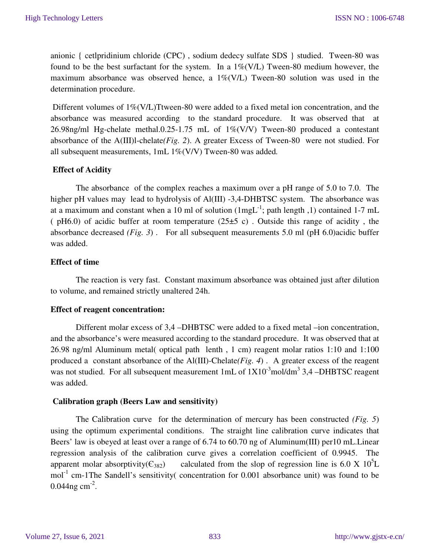anionic { cetlpridinium chloride (CPC) , sodium dedecy sulfate SDS } studied. Tween-80 was found to be the best surfactant for the system. In a  $1\%$  (V/L) Tween-80 medium however, the maximum absorbance was observed hence, a  $1\%$ (V/L) Tween-80 solution was used in the determination procedure.

Different volumes of  $1\%$ (V/L)Ttween-80 were added to a fixed metal ion concentration, and the absorbance was measured according to the standard procedure. It was observed that at 26.98ng/ml Hg-chelate methal.0.25-1.75 mL of 1%(V/V) Tween-80 produced a contestant absorbance of the A(III)l-chelate*(Fig. 2*). A greater Excess of Tween-80 were not studied. For all subsequent measurements, 1mL 1%(V/V) Tween-80 was added*.* 

### **Effect of Acidity**

 The absorbance of the complex reaches a maximum over a pH range of 5.0 to 7.0. The higher pH values may lead to hydrolysis of Al(III) -3,4-DHBTSC system. The absorbance was at a maximum and constant when a 10 ml of solution  $(1mgL^{-1})$ ; path length ,1) contained 1-7 mL (  $pH6.0$ ) of acidic buffer at room temperature (25 $\pm$ 5 c). Outside this range of acidity, the absorbance decreased *(Fig. 3*) . For all subsequent measurements 5.0 ml (pH 6.0)acidic buffer was added.

### **Effect of time**

The reaction is very fast. Constant maximum absorbance was obtained just after dilution to volume, and remained strictly unaltered 24h.

### **Effect of reagent concentration:**

Different molar excess of 3,4 –DHBTSC were added to a fixed metal –ion concentration, and the absorbance's were measured according to the standard procedure. It was observed that at 26.98 ng/ml Aluminum metal( optical path lenth , 1 cm) reagent molar ratios 1:10 and 1:100 produced a constant absorbance of the Al(III)-Chelate*(Fig. 4*) . A greater excess of the reagent was not studied. For all subsequent measurement  $1mL$  of  $1X10^{-3}mol/dm^3$  3,4 -DHBTSC reagent was added.

### **Calibration graph (Beers Law and sensitivity)**

 The Calibration curve for the determination of mercury has been constructed *(Fig. 5*) using the optimum experimental conditions. The straight line calibration curve indicates that Beers' law is obeyed at least over a range of 6.74 to 60.70 ng of Aluminum(III) per10 mL.Linear regression analysis of the calibration curve gives a correlation coefficient of 0.9945. The apparent molar absorptivity( $\epsilon_{382}$ ) calculated from the slop of regression line is 6.0 X 10<sup>5</sup>L  $mol<sup>-1</sup>$  cm-1The Sandell's sensitivity( concentration for 0.001 absorbance unit) was found to be 0.044ng cm<sup>-2</sup>.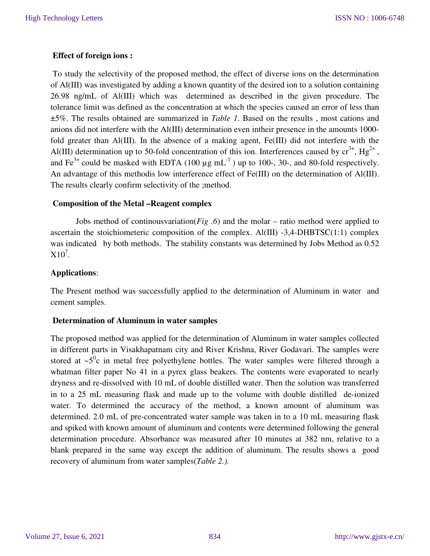### **Effect of foreign ions :**

 To study the selectivity of the proposed method, the effect of diverse ions on the determination of Al(III) was investigated by adding a known quantity of the desired ion to a solution containing 26.98 ng/mL of Al(III) which was determined as described in the given procedure. The tolerance limit was defined as the concentration at which the species caused an error of less than ±5%. The results obtained are summarized in *Table 1*. Based on the results , most cations and anions did not interfere with the Al(III) determination even intheir presence in the amounts 1000 fold greater than Al(III). In the absence of a making agent, Fe(III) did not interfere with the Al(III) determination up to 50-fold concentration of this ion. Interferences caused by  $\rm cr^{3+}$ ,  $\rm Hg^{2+}$ , and  $Fe^{3+}$  could be masked with EDTA (100  $\mu$ g mL<sup>-1</sup>) up to 100-, 30-, and 80-fold respectively. An advantage of this methodis low interference effect of Fe(III) on the determination of Al(III). The results clearly confirm selectivity of the ;method.

### **Composition of the Metal –Reagent complex**

Jobs method of continousvariation(*Fig .6*) and the molar – ratio method were applied to ascertain the stoichiometeric composition of the complex.  $Al(III)$  -3,4-DHBTSC(1:1) complex was indicated by both methods. The stability constants was determined by Jobs Method as 0.52  $X10^7$ .

### **Applications**:

The Present method was successfully applied to the determination of Aluminum in water and cement samples.

### **Determination of Aluminum in water samples**

The proposed method was applied for the determination of Aluminum in water samples collected in different parts in Visakhapatnam city and River Krishna, River Godavari. The samples were stored at  $\sim 5^0$ c in metal free polyethylene bottles. The water samples were filtered through a whatman filter paper No 41 in a pyrex glass beakers. The contents were evaporated to nearly dryness and re-dissolved with 10 mL of double distilled water. Then the solution was transferred in to a 25 mL measuring flask and made up to the volume with double distilled de-ionized water. To determined the accuracy of the method, a known amount of aluminum was determined. 2.0 mL of pre-concentrated water sample was taken in to a 10 mL measuring flask and spiked with known amount of aluminum and contents were determined following the general determination procedure. Absorbance was measured after 10 minutes at 382 nm, relative to a blank prepared in the same way except the addition of aluminum. The results shows a good recovery of aluminum from water samples(*Table 2.).*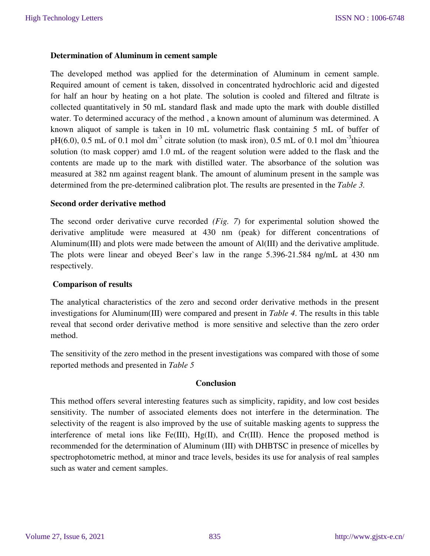### **Determination of Aluminum in cement sample**

The developed method was applied for the determination of Aluminum in cement sample. Required amount of cement is taken, dissolved in concentrated hydrochloric acid and digested for half an hour by heating on a hot plate. The solution is cooled and filtered and filtrate is collected quantitatively in 50 mL standard flask and made upto the mark with double distilled water. To determined accuracy of the method , a known amount of aluminum was determined. A known aliquot of sample is taken in 10 mL volumetric flask containing 5 mL of buffer of  $pH(6.0)$ , 0.5 mL of 0.1 mol dm<sup>-3</sup> citrate solution (to mask iron), 0.5 mL of 0.1 mol dm<sup>-3</sup>thiourea solution (to mask copper) amd 1.0 mL of the reagent solution were added to the flask and the contents are made up to the mark with distilled water. The absorbance of the solution was measured at 382 nm against reagent blank. The amount of aluminum present in the sample was determined from the pre-determined calibration plot. The results are presented in the *Table 3.*

### **Second order derivative method**

The second order derivative curve recorded *(Fig. 7*) for experimental solution showed the derivative amplitude were measured at 430 nm (peak) for different concentrations of Aluminum(III) and plots were made between the amount of Al(III) and the derivative amplitude. The plots were linear and obeyed Beer`s law in the range 5.396-21.584 ng/mL at 430 nm respectively.

### **Comparison of results**

The analytical characteristics of the zero and second order derivative methods in the present investigations for Aluminum(III) were compared and present in *Table 4*. The results in this table reveal that second order derivative method is more sensitive and selective than the zero order method.

The sensitivity of the zero method in the present investigations was compared with those of some reported methods and presented in *Table 5*

### **Conclusion**

This method offers several interesting features such as simplicity, rapidity, and low cost besides sensitivity. The number of associated elements does not interfere in the determination. The selectivity of the reagent is also improved by the use of suitable masking agents to suppress the interference of metal ions like Fe(III), Hg(II), and Cr(III). Hence the proposed method is recommended for the determination of Aluminum (III) with DHBTSC in presence of micelles by spectrophotometric method, at minor and trace levels, besides its use for analysis of real samples such as water and cement samples.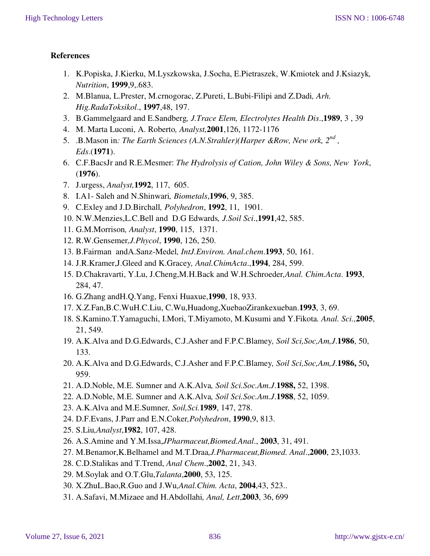## **References**

- 1. K.Popiska, J.Kierku, M.Lyszkowska, J.Socha, E.Pietraszek, W.Kmiotek and J.Ksiazyk*, Nutrition*, **1999**,9,.683.
- 2. M.Blanua, L.Prester, M.crnogorac, Z.Pureti, L.Bubi-Filipi and Z.Dadi*, Arh. Hig.RadaToksikol*., **1997**,48, 197.
- 3. B.Gammelgaard and E.Sandberg*, J.Trace Elem, Electrolytes Health Dis*.,**1989**, 3 , 39
- 4. M. Marta Luconi, A. Roberto*, Analyst,***2001**,126, 1172-1176
- 5. .B.Mason in: The Earth Sciences (A.N.Strahler)(Harper &Row, New ork, 2<sup>nd</sup>, *Eds*.(**1971**).
- 6. C.F.BacsJr and R.E.Mesmer: *The Hydrolysis of Cation, John Wiley & Sons, New York*, (**1976**).
- 7. J.urgess, *Analyst,***1992**, 117, 605.
- 8. I.A1- Saleh and N.Shinwari*, Biometals*,**1996**, 9, 385.
- 9. C.Exley and J.D.Birchall*, Polyhedron*, **1992**, 11, 1901.
- 10. N.W.Menzies,L.C.Bell and D.G Edwards*, J.Soil Sci*.,**1991**,42, 585.
- 11. G.M.Morrison*, Analyst*, **1990**, 115, 1371.
- 12. R.W.Gensemer*,J.Phycol*, **1990**, 126, 250.
- 13. B.Fairman andA.Sanz-Medel*, IntJ.Environ. Anal.chem*.**1993**, 50, 161.
- 14. J.R.Kramer,J.Gleed and K.Gracey*, Anal.ChimActa*.,**1994**, 284, 599.
- 15. D.Chakravarti, Y.Lu, J.Cheng,M.H.Back and W.H.Schroeder*,Anal. Chim.Acta*. **1993**, 284, 47.
- 16. G.Zhang andH.Q.Yang, Fenxi Huaxue,**1990**, 18, 933.
- 17. X.Z.Fan,B.C.WuH.C.Liu, C.Wu,Huadong,XuebaoZirankexueban.**1993**, 3, 69.
- 18. S.Kamino.T.Yamaguchi, I.Mori, T.Miyamoto, M.Kusumi and Y.Fikota*. Anal. Sci.,***2005**, 21, 549.
- 19. A.K.Alva and D.G.Edwards, C.J.Asher and F.P.C.Blamey*, Soil Sci,Soc,Am,J*.**1986**, 50, 133.
- 20. A.K.Alva and D.G.Edwards, C.J.Asher and F.P.C.Blamey*, Soil Sci,Soc,Am,J*.**1986,** 50**,**  959.
- 21. A.D.Noble, M.E. Sumner and A.K.Alva*, Soil Sci.Soc.Am.J*.**1988,** 52, 1398.
- 22. A.D.Noble, M.E. Sumner and A.K.Alva*, Soil Sci.Soc.Am.J*.**1988**, 52, 1059.
- 23. A.K.Alva and M.E.Sumner*, Soil,Sci.***1989**, 147, 278.
- 24. D.F.Evans, J.Parr and E.N.Coker*,Polyhedron*, **1990**,9, 813.
- 25. S.Liu*,Analyst*,**1982**, 107, 428.
- 26. A.S.Amine and Y.M.Issa,*JPharmaceut,Biomed.Anal*., **2003**, 31, 491.
- 27. M.Benamor,K.Belhamel and M.T.Draa*,J.Pharmaceut,Biomed. Anal*.,**2000**, 23,1033.
- 28. C.D.Stalikas and T.Trend, *Anal Chem*.,**2002**, 21, 343.
- 29. M.Soylak and O.T.Glu,*Talanta*,**2000**, 53, 125.
- 30. X.ZhuL.Bao,R.Guo and J.Wu*,Anal.Chim. Acta*, **2004**,43, 523..
- 31. A.Safavi, M.Mizaee and H.Abdollahi*, Anal, Lett*,**2003**, 36, 699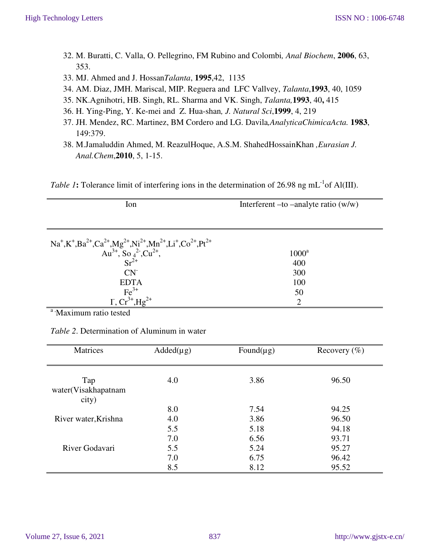- 32. M. Buratti, C. Valla, O. Pellegrino, FM Rubino and Colombi*, Anal Biochem*, **2006**, 63, 353.
- 33. MJ. Ahmed and J. Hossan*Talanta*, **1995**,42, 1135
- 34. AM. Diaz, JMH. Mariscal, MIP. Reguera and LFC Vallvey, *Talanta*,**1993**, 40, 1059
- 35. NK.Agnihotri, HB. Singh, RL. Sharma and VK. Singh, *Talanta,***1993**, 40**,** 415
- 36. H. Ying-Ping, Y. Ke-mei and Z. Hua-shan*, J. Natural Sci*,**1999**, 4, 219
- 37. JH. Mendez, RC. Martinez, BM Cordero and LG. Davila*,AnalyticaChimicaActa.* **1983**, 149:379.
- 38. M.Jamaluddin Ahmed, M. ReazulHoque, A.S.M. ShahedHossainKhan *,Eurasian J. Anal.Chem*,**2010**, 5, 1-15.

*Table 1*: Tolerance limit of interfering ions in the determination of 26.98 ng mL<sup>-1</sup>of Al(III).

| Ion                                                                                                                                                                                                                                                                        | Interferent $-$ to $-$ analyte ratio (w/w) |  |  |  |
|----------------------------------------------------------------------------------------------------------------------------------------------------------------------------------------------------------------------------------------------------------------------------|--------------------------------------------|--|--|--|
|                                                                                                                                                                                                                                                                            |                                            |  |  |  |
| Na <sup>+</sup> ,K <sup>+</sup> ,Ba <sup>2+</sup> ,Ca <sup>2+</sup> ,Mg <sup>2+</sup> ,Ni <sup>2+</sup> ,Mn <sup>2+</sup> ,Li <sup>+</sup> ,Co <sup>2+</sup> ,Pt <sup>2+</sup><br>Au <sup>3+</sup> , So <sub>4</sub> <sup>2</sup> -,Cu <sup>2+</sup> ,<br>Sr <sup>2+</sup> |                                            |  |  |  |
|                                                                                                                                                                                                                                                                            | $1000^a$                                   |  |  |  |
|                                                                                                                                                                                                                                                                            | 400                                        |  |  |  |
| $CN-$                                                                                                                                                                                                                                                                      | 300                                        |  |  |  |
| <b>EDTA</b>                                                                                                                                                                                                                                                                | 100                                        |  |  |  |
|                                                                                                                                                                                                                                                                            | 50                                         |  |  |  |
| $Fe^{3+}$<br>I, $Cr^{3+}$ , $Hg^{2+}$                                                                                                                                                                                                                                      | $\overline{2}$                             |  |  |  |

<sup>a</sup> Maximum ratio tested

*Table 2*. Determination of Aluminum in water

| Matrices                            | $Added(\mu g)$ | Found( $\mu$ g) | Recovery $(\%)$ |
|-------------------------------------|----------------|-----------------|-----------------|
| Tap<br>water(Visakhapatnam<br>city) | 4.0            | 3.86            | 96.50           |
|                                     | 8.0            | 7.54            | 94.25           |
| River water, Krishna                | 4.0            | 3.86            | 96.50           |
|                                     | 5.5            | 5.18            | 94.18           |
|                                     | 7.0            | 6.56            | 93.71           |
| River Godavari                      | 5.5            | 5.24            | 95.27           |
|                                     | 7.0            | 6.75            | 96.42           |
|                                     | 8.5            | 8.12            | 95.52           |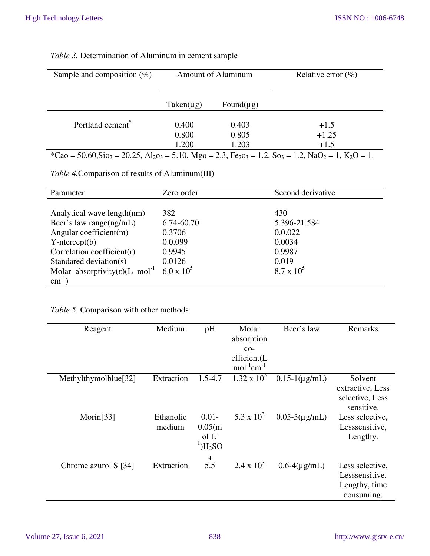| Sample and composition $(\%)$                                                                                                                                                                      | <b>Amount of Aluminum</b> |                 | Relative error $(\%)$ |  |  |
|----------------------------------------------------------------------------------------------------------------------------------------------------------------------------------------------------|---------------------------|-----------------|-----------------------|--|--|
|                                                                                                                                                                                                    |                           |                 |                       |  |  |
|                                                                                                                                                                                                    | $Taken(\mu g)$            | Found( $\mu$ g) |                       |  |  |
|                                                                                                                                                                                                    |                           |                 |                       |  |  |
| Portland cement <sup>*</sup>                                                                                                                                                                       | 0.400                     | 0.403           | $+1.5$                |  |  |
|                                                                                                                                                                                                    | 0.800                     | 0.805           | $+1.25$               |  |  |
|                                                                                                                                                                                                    | 1.200                     | 1.203           | $+1.5$                |  |  |
| *Cao = 50.60, Sio <sub>2</sub> = 20.25, Al <sub>2</sub> o <sub>3</sub> = 5.10, Mgo = 2.3, Fe <sub>2</sub> o <sub>3</sub> = 1.2, So <sub>3</sub> = 1.2, NaO <sub>2</sub> = 1, K <sub>2</sub> O = 1. |                           |                 |                       |  |  |

## *Table 3.* Determination of Aluminum in cement sample

*Table 4.*Comparison of results of Aluminum(III)

| Parameter                                               | Zero order        | Second derivative |
|---------------------------------------------------------|-------------------|-------------------|
|                                                         |                   |                   |
| Analytical wave length(nm)                              | 382               | 430               |
| Beer's law range(ng/mL)                                 | 6.74-60.70        | 5.396-21.584      |
| Angular coefficient(m)                                  | 0.3706            | 0.0.022           |
| $Y-intercept(b)$                                        | 0.0.099           | 0.0034            |
| Correlation coefficient $(r)$                           | 0.9945            | 0.9987            |
| Standared deviation(s)                                  | 0.0126            | 0.019             |
| Molar absorptivity( $\varepsilon$ )(L mol <sup>-1</sup> | $6.0 \times 10^5$ | $8.7 \times 10^5$ |
| $\text{cm}^{-1}$ )                                      |                   |                   |

## *Table 5*. Comparison with other methods

| Reagent              | Medium              | pH                                                                       | Molar<br>absorption<br>$CO-$<br>efficient(L<br>$mol^{-1}cm^{-1}$ | Beer's law           | Remarks                                                          |
|----------------------|---------------------|--------------------------------------------------------------------------|------------------------------------------------------------------|----------------------|------------------------------------------------------------------|
| Methylthymolblue[32] | Extraction          | $1.5 - 4.7$                                                              | $1.32 \times 10^3$                                               | $0.15-1(\mu g/mL)$   | Solvent<br>extractive, Less<br>selective, Less<br>sensitive.     |
| Morin $[33]$         | Ethanolic<br>medium | $0.01 -$<br>0.05(m)<br>ol L<br>$^1$ )H <sub>2</sub> SO<br>$\overline{4}$ | 5.3 x $10^3$                                                     | $0.05 - 5(\mu g/mL)$ | Less selective,<br>Lesssensitive,<br>Lengthy.                    |
| Chrome azurol S [34] | Extraction          | 5.5                                                                      | $2.4 \times 10^3$                                                | $0.6-4(\mu g/mL)$    | Less selective,<br>Lesssensitive,<br>Lengthy, time<br>consuming. |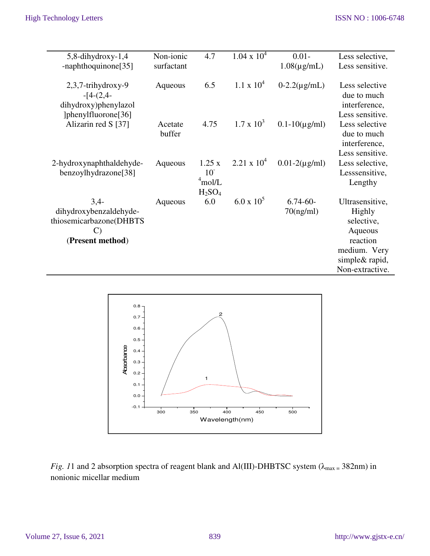| $5,8$ -dihydroxy-1,4     | Non-ionic         | 4.7                            | $1.04 \times 10^4$ | $0.01 -$             | Less selective,                |
|--------------------------|-------------------|--------------------------------|--------------------|----------------------|--------------------------------|
| -naphthoquinone[35]      | surfactant        |                                |                    | $1.08(\mu g/mL)$     | Less sensitive.                |
|                          |                   |                                |                    |                      |                                |
| 2,3,7-trihydroxy-9       | Aqueous           | 6.5                            | $1.1 \times 10^4$  | $0-2.2(\mu g/mL)$    | Less selective                 |
| $-[4-(2,4-$              |                   |                                |                    |                      | due to much                    |
| dihydroxy)phenylazol     |                   |                                |                    |                      | interference,                  |
| [36] [phenylfluorone]    |                   |                                | $1.7 \times 10^3$  |                      | Less sensitive.                |
| Alizarin red S [37]      | Acetate<br>buffer | 4.75                           |                    | $0.1 - 10(\mu g/ml)$ | Less selective<br>due to much  |
|                          |                   |                                |                    |                      | interference,                  |
|                          |                   |                                |                    |                      | Less sensitive.                |
| 2-hydroxynaphthaldehyde- | Aqueous           | 1.25 x                         | $2.21 \times 10^4$ | $0.01 - 2(\mu g/ml)$ | Less selective,                |
| benzoylhydrazone[38]     |                   | 10 <sup>°</sup>                |                    |                      | Lesssensitive,                 |
|                          |                   | $4$ mol/L                      |                    |                      | Lengthy                        |
|                          |                   | H <sub>2</sub> SO <sub>4</sub> |                    |                      |                                |
| $3,4-$                   | Aqueous           | 6.0                            | $6.0 \times 10^5$  | $6.74 - 60 -$        | Ultrasensitive,                |
| dihydroxybenzaldehyde-   |                   |                                |                    | 70(ng/ml)            | Highly                         |
| thiosemicarbazone(DHBTS  |                   |                                |                    |                      | selective,                     |
|                          |                   |                                |                    |                      | Aqueous                        |
| (Present method)         |                   |                                |                    |                      | reaction                       |
|                          |                   |                                |                    |                      | medium. Very<br>simple& rapid, |
|                          |                   |                                |                    |                      | Non-extractive.                |
|                          |                   |                                |                    |                      |                                |



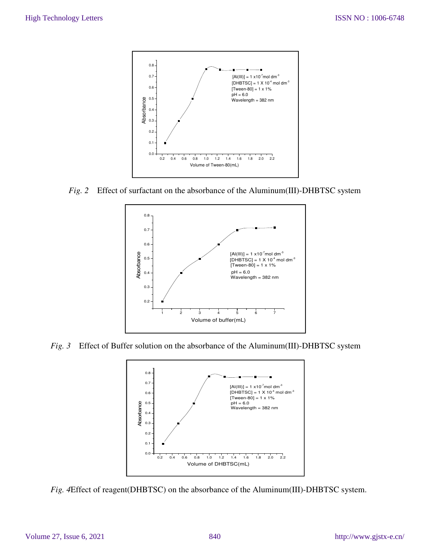

*Fig. 2* Effect of surfactant on the absorbance of the Aluminum(III)-DHBTSC system



*Fig. 3* Effect of Buffer solution on the absorbance of the Aluminum(III)-DHBTSC system



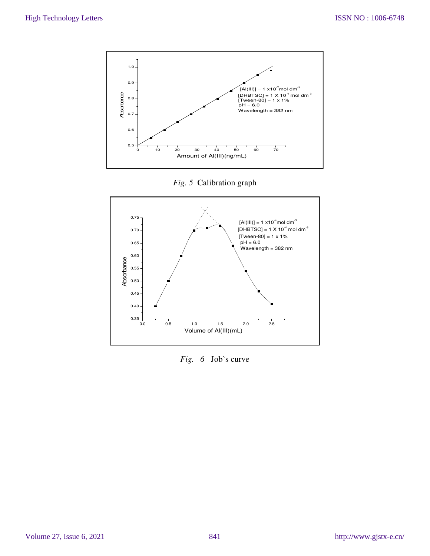

*Fig. 5* Calibration graph



*Fig. 6* Job`s curve